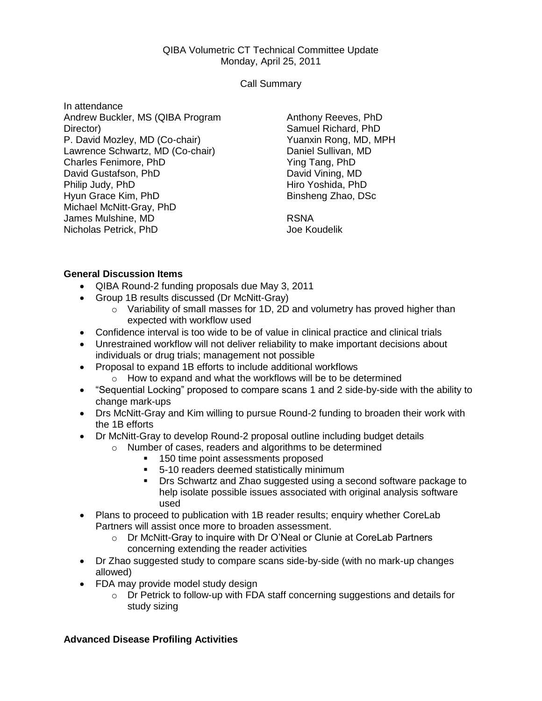## QIBA Volumetric CT Technical Committee Update Monday, April 25, 2011

Call Summary

In attendance Andrew Buckler, MS (QIBA Program Director) P. David Mozley, MD (Co-chair) Lawrence Schwartz, MD (Co-chair) Charles Fenimore, PhD David Gustafson, PhD Philip Judy, PhD Hyun Grace Kim, PhD Michael McNitt-Gray, PhD James Mulshine, MD Nicholas Petrick, PhD

Anthony Reeves, PhD Samuel Richard, PhD Yuanxin Rong, MD, MPH Daniel Sullivan, MD Ying Tang, PhD David Vining, MD Hiro Yoshida, PhD Binsheng Zhao, DSc

RSNA Joe Koudelik

## **General Discussion Items**

- QIBA Round-2 funding proposals due May 3, 2011
- Group 1B results discussed (Dr McNitt-Gray)
	- $\circ$  Variability of small masses for 1D, 2D and volumetry has proved higher than expected with workflow used
- Confidence interval is too wide to be of value in clinical practice and clinical trials
- Unrestrained workflow will not deliver reliability to make important decisions about individuals or drug trials; management not possible
- Proposal to expand 1B efforts to include additional workflows
	- o How to expand and what the workflows will be to be determined
- "Sequential Locking" proposed to compare scans 1 and 2 side-by-side with the ability to change mark-ups
- Drs McNitt-Gray and Kim willing to pursue Round-2 funding to broaden their work with the 1B efforts
- Dr McNitt-Gray to develop Round-2 proposal outline including budget details
	- o Number of cases, readers and algorithms to be determined
		- 150 time point assessments proposed
		- 5-10 readers deemed statistically minimum
		- **Drs Schwartz and Zhao suggested using a second software package to** help isolate possible issues associated with original analysis software used
- Plans to proceed to publication with 1B reader results; enquiry whether CoreLab Partners will assist once more to broaden assessment.
	- o Dr McNitt-Gray to inquire with Dr O'Neal or Clunie at CoreLab Partners concerning extending the reader activities
- Dr Zhao suggested study to compare scans side-by-side (with no mark-up changes allowed)
- FDA may provide model study design
	- o Dr Petrick to follow-up with FDA staff concerning suggestions and details for study sizing

## **Advanced Disease Profiling Activities**